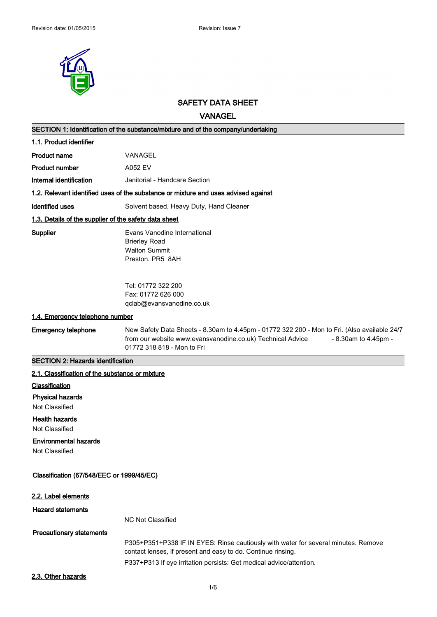

# **SAFETY DATA SHEET**

**VANAGEL**

| SECTION 1: Identification of the substance/mixture and of the company/undertaking  |                                                                                                                                                                                                                  |  |  |
|------------------------------------------------------------------------------------|------------------------------------------------------------------------------------------------------------------------------------------------------------------------------------------------------------------|--|--|
| 1.1. Product identifier                                                            |                                                                                                                                                                                                                  |  |  |
| <b>Product name</b>                                                                | VANAGEL                                                                                                                                                                                                          |  |  |
| <b>Product number</b>                                                              | A052 EV                                                                                                                                                                                                          |  |  |
| Internal identification                                                            | Janitorial - Handcare Section                                                                                                                                                                                    |  |  |
| 1.2. Relevant identified uses of the substance or mixture and uses advised against |                                                                                                                                                                                                                  |  |  |
| <b>Identified uses</b>                                                             | Solvent based, Heavy Duty, Hand Cleaner                                                                                                                                                                          |  |  |
| 1.3. Details of the supplier of the safety data sheet                              |                                                                                                                                                                                                                  |  |  |
| Supplier                                                                           | Evans Vanodine International<br><b>Brierley Road</b><br><b>Walton Summit</b><br>Preston. PR5 8AH                                                                                                                 |  |  |
|                                                                                    | Tel: 01772 322 200<br>Fax: 01772 626 000<br>qclab@evansvanodine.co.uk                                                                                                                                            |  |  |
| 1.4. Emergency telephone number                                                    |                                                                                                                                                                                                                  |  |  |
| <b>Emergency telephone</b>                                                         | New Safety Data Sheets - 8.30am to 4.45pm - 01772 322 200 - Mon to Fri. (Also available 24/7<br>from our website www.evansvanodine.co.uk) Technical Advice<br>- 8.30am to 4.45pm -<br>01772 318 818 - Mon to Fri |  |  |
|                                                                                    |                                                                                                                                                                                                                  |  |  |
| <b>SECTION 2: Hazards identification</b>                                           |                                                                                                                                                                                                                  |  |  |
| 2.1. Classification of the substance or mixture                                    |                                                                                                                                                                                                                  |  |  |
| Classification                                                                     |                                                                                                                                                                                                                  |  |  |
| <b>Physical hazards</b>                                                            |                                                                                                                                                                                                                  |  |  |
| <b>Not Classified</b>                                                              |                                                                                                                                                                                                                  |  |  |
| <b>Health hazards</b><br>Not Classified                                            |                                                                                                                                                                                                                  |  |  |
| <b>Environmental hazards</b><br>Not Classified                                     |                                                                                                                                                                                                                  |  |  |
| Classification (67/548/EEC or 1999/45/EC)                                          |                                                                                                                                                                                                                  |  |  |
| 2.2. Label elements                                                                |                                                                                                                                                                                                                  |  |  |
| <b>Hazard statements</b>                                                           |                                                                                                                                                                                                                  |  |  |
|                                                                                    | <b>NC Not Classified</b>                                                                                                                                                                                         |  |  |
| <b>Precautionary statements</b>                                                    |                                                                                                                                                                                                                  |  |  |
|                                                                                    | P305+P351+P338 IF IN EYES: Rinse cautiously with water for several minutes. Remove                                                                                                                               |  |  |
|                                                                                    | contact lenses, if present and easy to do. Continue rinsing.<br>P337+P313 If eye irritation persists: Get medical advice/attention.                                                                              |  |  |
| 2.3. Other hazards                                                                 |                                                                                                                                                                                                                  |  |  |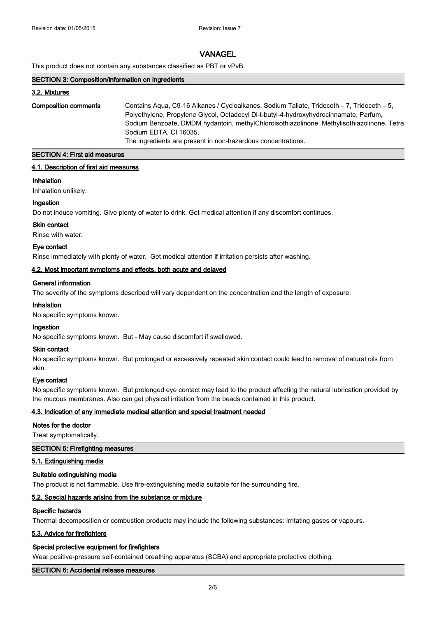This product does not contain any substances classified as PBT or vPvB.

#### **SECTION 3: Composition/information on ingredients**

#### **3.2. Mixtures**

| <b>Composition comments</b> | Contains Aqua, C9-16 Alkanes / Cycloalkanes, Sodium Tallate, Trideceth – 7, Trideceth – 5,<br>Polyethylene, Propylene Glycol, Octadecyl Di-t-butyl-4-hydroxyhydrocinnamate, Parfum, |
|-----------------------------|-------------------------------------------------------------------------------------------------------------------------------------------------------------------------------------|
|                             | Sodium Benzoate, DMDM hydantoin, methylChloroisothiazolinone, Methylisothiazolinone, Tetra<br>Sodium EDTA, CI 16035.                                                                |
|                             | The ingredients are present in non-hazardous concentrations.                                                                                                                        |

# **SECTION 4: First aid measures**

#### **4.1. Description of first aid measures**

#### **Inhalation**

Inhalation unlikely.

# **Ingestion**

Do not induce vomiting. Give plenty of water to drink. Get medical attention if any discomfort continues.

# **Skin contact**

Rinse with water.

## **Eye contact**

Rinse immediately with plenty of water. Get medical attention if irritation persists after washing.

## **4.2. Most important symptoms and effects, both acute and delayed**

## **General information**

The severity of the symptoms described will vary dependent on the concentration and the length of exposure.

#### **Inhalation**

No specific symptoms known.

## **Ingestion**

No specific symptoms known. But - May cause discomfort if swallowed.

## **Skin contact**

No specific symptoms known. But prolonged or excessively repeated skin contact could lead to removal of natural oils from skin.

## **Eye contact**

No specific symptoms known. But prolonged eye contact may lead to the product affecting the natural lubrication provided by the mucous membranes. Also can get physical irritation from the beads contained in this product.

## **4.3. Indication of any immediate medical attention and special treatment needed**

## **Notes for the doctor**

Treat symptomatically.

## **SECTION 5: Firefighting measures**

## **5.1. Extinguishing media**

## **Suitable extinguishing media**

The product is not flammable. Use fire-extinguishing media suitable for the surrounding fire.

## **5.2. Special hazards arising from the substance or mixture**

#### **Specific hazards**

Thermal decomposition or combustion products may include the following substances: Irritating gases or vapours.

## **5.3. Advice for firefighters**

## **Special protective equipment for firefighters**

Wear positive-pressure self-contained breathing apparatus (SCBA) and appropriate protective clothing.

#### **SECTION 6: Accidental release measures**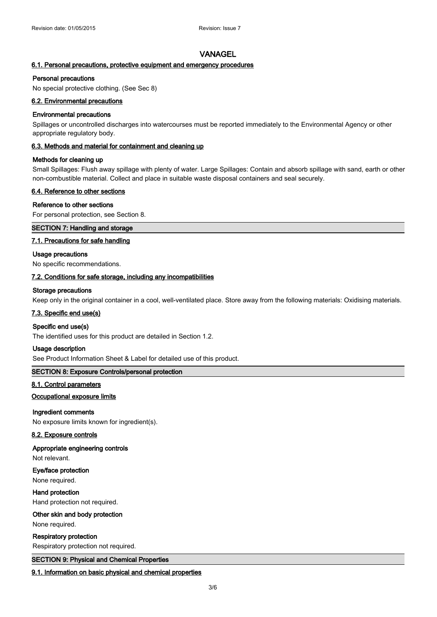## **6.1. Personal precautions, protective equipment and emergency procedures**

#### **Personal precautions**

No special protective clothing. (See Sec 8)

#### **6.2. Environmental precautions**

#### **Environmental precautions**

Spillages or uncontrolled discharges into watercourses must be reported immediately to the Environmental Agency or other appropriate regulatory body.

### **6.3. Methods and material for containment and cleaning up**

#### **Methods for cleaning up**

Small Spillages: Flush away spillage with plenty of water. Large Spillages: Contain and absorb spillage with sand, earth or other non-combustible material. Collect and place in suitable waste disposal containers and seal securely.

### **6.4. Reference to other sections**

## **Reference to other sections**

For personal protection, see Section 8.

# **SECTION 7: Handling and storage**

## **7.1. Precautions for safe handling**

#### **Usage precautions**

No specific recommendations.

#### **7.2. Conditions for safe storage, including any incompatibilities**

#### **Storage precautions**

Keep only in the original container in a cool, well-ventilated place. Store away from the following materials: Oxidising materials.

## **7.3. Specific end use(s)**

#### **Specific end use(s)**

The identified uses for this product are detailed in Section 1.2.

#### **Usage description**

See Product Information Sheet & Label for detailed use of this product.

## **SECTION 8: Exposure Controls/personal protection**

#### **8.1. Control parameters**

#### **Occupational exposure limits**

## **Ingredient comments**

No exposure limits known for ingredient(s).

## **8.2. Exposure controls**

#### **Appropriate engineering controls**

Not relevant.

## **Eye/face protection**

None required.

**Hand protection**

Hand protection not required.

#### **Other skin and body protection**

None required.

#### **Respiratory protection**

Respiratory protection not required.

## **SECTION 9: Physical and Chemical Properties**

#### **9.1. Information on basic physical and chemical properties**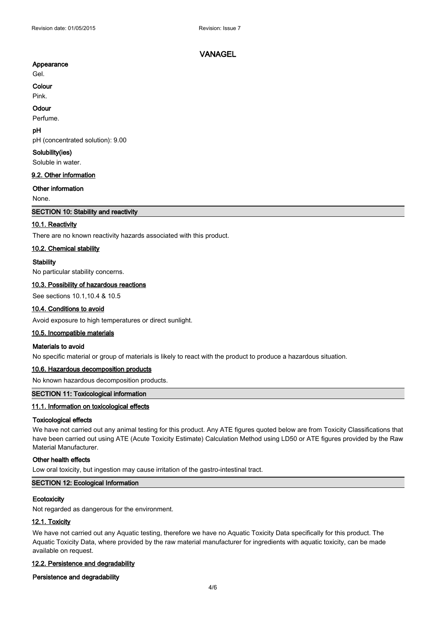## **Appearance**

Gel.

#### **Colour**

Pink.

#### **Odour**

Perfume.

# **pH**

pH (concentrated solution): 9.00

#### **Solubility(ies)**

Soluble in water.

#### **9.2. Other information**

#### **Other information**

None.

## **SECTION 10: Stability and reactivity**

## **10.1. Reactivity**

There are no known reactivity hazards associated with this product.

#### **10.2. Chemical stability**

#### **Stability**

No particular stability concerns.

#### **10.3. Possibility of hazardous reactions**

See sections 10.1,10.4 & 10.5

# **10.4. Conditions to avoid**

Avoid exposure to high temperatures or direct sunlight.

#### **10.5. Incompatible materials**

## **Materials to avoid**

No specific material or group of materials is likely to react with the product to produce a hazardous situation.

## **10.6. Hazardous decomposition products**

No known hazardous decomposition products.

## **SECTION 11: Toxicological information**

#### **11.1. Information on toxicological effects**

#### **Toxicological effects**

We have not carried out any animal testing for this product. Any ATE figures quoted below are from Toxicity Classifications that have been carried out using ATE (Acute Toxicity Estimate) Calculation Method using LD50 or ATE figures provided by the Raw Material Manufacturer.

#### **Other health effects**

Low oral toxicity, but ingestion may cause irritation of the gastro-intestinal tract.

#### **SECTION 12: Ecological Information**

#### **Ecotoxicity**

Not regarded as dangerous for the environment.

#### **12.1. Toxicity**

We have not carried out any Aquatic testing, therefore we have no Aquatic Toxicity Data specifically for this product. The Aquatic Toxicity Data, where provided by the raw material manufacturer for ingredients with aquatic toxicity, can be made available on request.

#### **12.2. Persistence and degradability**

#### **Persistence and degradability**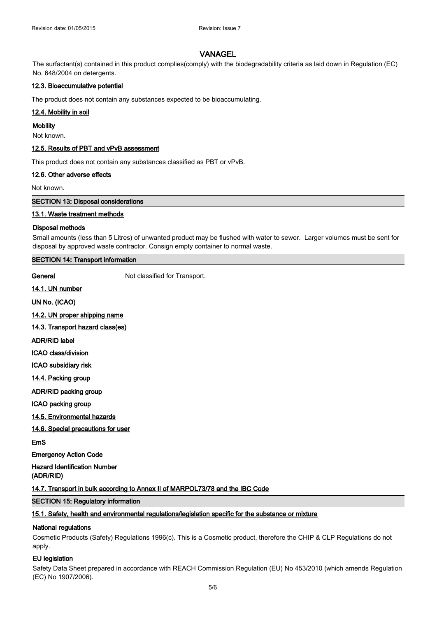The surfactant(s) contained in this product complies(comply) with the biodegradability criteria as laid down in Regulation (EC) No. 648/2004 on detergents.

#### **12.3. Bioaccumulative potential**

The product does not contain any substances expected to be bioaccumulating.

#### **12.4. Mobility in soil**

#### **Mobility**

Not known.

#### **12.5. Results of PBT and vPvB assessment**

This product does not contain any substances classified as PBT or vPvB.

#### **12.6. Other adverse effects**

Not known.

### **SECTION 13: Disposal considerations**

#### **13.1. Waste treatment methods**

#### **Disposal methods**

Small amounts (less than 5 Litres) of unwanted product may be flushed with water to sewer. Larger volumes must be sent for disposal by approved waste contractor. Consign empty container to normal waste.

# **SECTION 14: Transport information**

**General** Not classified for Transport.

**14.1. UN number**

**UN No. (ICAO)**

**14.2. UN proper shipping name 14.3. Transport hazard class(es)**

**ADR/RID label**

**ICAO class/division**

**ICAO subsidiary risk**

**14.4. Packing group**

**ADR/RID packing group**

**ICAO packing group**

# **14.5. Environmental hazards**

**14.6. Special precautions for user**

**EmS**

**Emergency Action Code**

**Hazard Identification Number (ADR/RID)**

**14.7. Transport in bulk according to Annex II of MARPOL73/78 and the IBC Code**

#### **SECTION 15: Regulatory information**

## **15.1. Safety, health and environmental regulations/legislation specific for the substance or mixture**

#### **National regulations**

Cosmetic Products (Safety) Regulations 1996(c). This is a Cosmetic product, therefore the CHIP & CLP Regulations do not apply.

#### **EU legislation**

Safety Data Sheet prepared in accordance with REACH Commission Regulation (EU) No 453/2010 (which amends Regulation (EC) No 1907/2006).